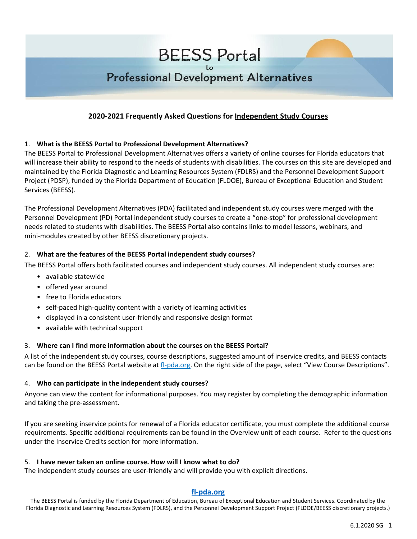# Professional Development Alternatives

## **2020-2021 Frequently Asked Questions for Independent Study Courses**

### 1. **What is the BEESS Portal to Professional Development Alternatives?**

The BEESS Portal to Professional Development Alternatives offers a variety of online courses for Florida educators that will increase their ability to respond to the needs of students with disabilities. The courses on this site are developed and maintained by the Florida Diagnostic and Learning Resources System (FDLRS) and the Personnel Development Support Project (PDSP), funded by the Florida Department of Education (FLDOE), Bureau of Exceptional Education and Student Services (BEESS).

The Professional Development Alternatives (PDA) facilitated and independent study courses were merged with the Personnel Development (PD) Portal independent study courses to create a "one-stop" for professional development needs related to students with disabilities. The BEESS Portal also contains links to model lessons, webinars, and mini-modules created by other BEESS discretionary projects.

### 2. **What are the features of the BEESS Portal independent study courses?**

The BEESS Portal offers both facilitated courses and independent study courses. All independent study courses are:

- available statewide
- offered year around
- free to Florida educators
- self-paced high-quality content with a variety of learning activities
- displayed in a consistent user-friendly and responsive design format
- available with technical support

### 3. **Where can I find more information about the courses on the BEESS Portal?**

A list of the independent study courses, course descriptions, suggested amount of inservice credits, and BEESS contacts can be found on the BEESS Portal website at [fl-pda.org.](http://www.fl-pda.org/) On the right side of the page, select "View Course Descriptions".

### 4. **Who can participate in the independent study courses?**

Anyone can view the content for informational purposes. You may register by completing the demographic information and taking the pre-assessment.

If you are seeking inservice points for renewal of a Florida educator certificate, you must complete the additional course requirements. Specific additional requirements can be found in the Overview unit of each course. Refer to the questions under the Inservice Credits section for more information.

### 5. **I have never taken an online course. How will I know what to do?**

The independent study courses are user-friendly and will provide you with explicit directions.

## **[fl-pda.org](http://www.fl-pda.org/)**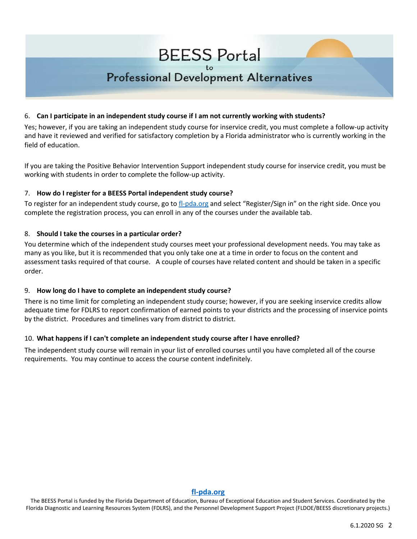## **Professional Development Alternatives**

### 6. **Can I participate in an independent study course if I am not currently working with students?**

Yes; however, if you are taking an independent study course for inservice credit, you must complete a follow-up activity and have it reviewed and verified for satisfactory completion by a Florida administrator who is currently working in the field of education.

If you are taking the Positive Behavior Intervention Support independent study course for inservice credit, you must be working with students in order to complete the follow-up activity.

### 7. **How do I register for a BEESS Portal independent study course?**

To register for an independent study course, go to [fl-pda.org](http://www.fl-pda.org/) and select "Register/Sign in" on the right side. Once you complete the registration process, you can enroll in any of the courses under the available tab.

### 8. **Should I take the courses in a particular order?**

You determine which of the independent study courses meet your professional development needs. You may take as many as you like, but it is recommended that you only take one at a time in order to focus on the content and assessment tasks required of that course. A couple of courses have related content and should be taken in a specific order.

### 9. **How long do I have to complete an independent study course?**

There is no time limit for completing an independent study course; however, if you are seeking inservice credits allow adequate time for FDLRS to report confirmation of earned points to your districts and the processing of inservice points by the district. Procedures and timelines vary from district to district.

### 10. **What happens if I can't complete an independent study course after I have enrolled?**

The independent study course will remain in your list of enrolled courses until you have completed all of the course requirements. You may continue to access the course content indefinitely.

#### **[fl-pda.org](http://www.fl-pda.org/)**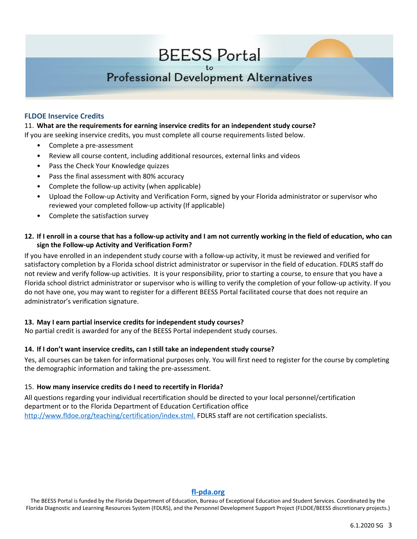# **Professional Development Alternatives**

### **FLDOE Inservice Credits**

#### 11. **What are the requirements for earning inservice credits for an independent study course?**

If you are seeking inservice credits, you must complete all course requirements listed below.

- Complete a pre-assessment
- Review all course content, including additional resources, external links and videos
- Pass the Check Your Knowledge quizzes
- Pass the final assessment with 80% accuracy
- Complete the follow-up activity (when applicable)
- Upload the Follow-up Activity and Verification Form, signed by your Florida administrator or supervisor who reviewed your completed follow-up activity (If applicable)
- Complete the satisfaction survey

### 12. If I enroll in a course that has a follow-up activity and I am not currently working in the field of education, who can **sign the Follow-up Activity and Verification Form?**

If you have enrolled in an independent study course with a follow-up activity, it must be reviewed and verified for satisfactory completion by a Florida school district administrator or supervisor in the field of education. FDLRS staff do not review and verify follow-up activities. It is your responsibility, prior to starting a course, to ensure that you have a Florida school district administrator or supervisor who is willing to verify the completion of your follow-up activity. If you do not have one, you may want to register for a different BEESS Portal facilitated course that does not require an administrator's verification signature.

### **13. May I earn partial inservice credits for independent study courses?**

No partial credit is awarded for any of the BEESS Portal independent study courses.

### **14. If I don't want inservice credits, can I still take an independent study course?**

Yes, all courses can be taken for informational purposes only. You will first need to register for the course by completing the demographic information and taking the pre-assessment.

### 15. **How many inservice credits do I need to recertify in Florida?**

All questions regarding your individual recertification should be directed to your local personnel/certification department or to the Florida Department of Education Certification office [http://www.fldoe.org/teaching/certification/index.stml.](http://www.fldoe.org/teaching/certification/index.stml) FDLRS staff are not certification specialists.

#### **[fl-pda.org](http://www.fl-pda.org/)**